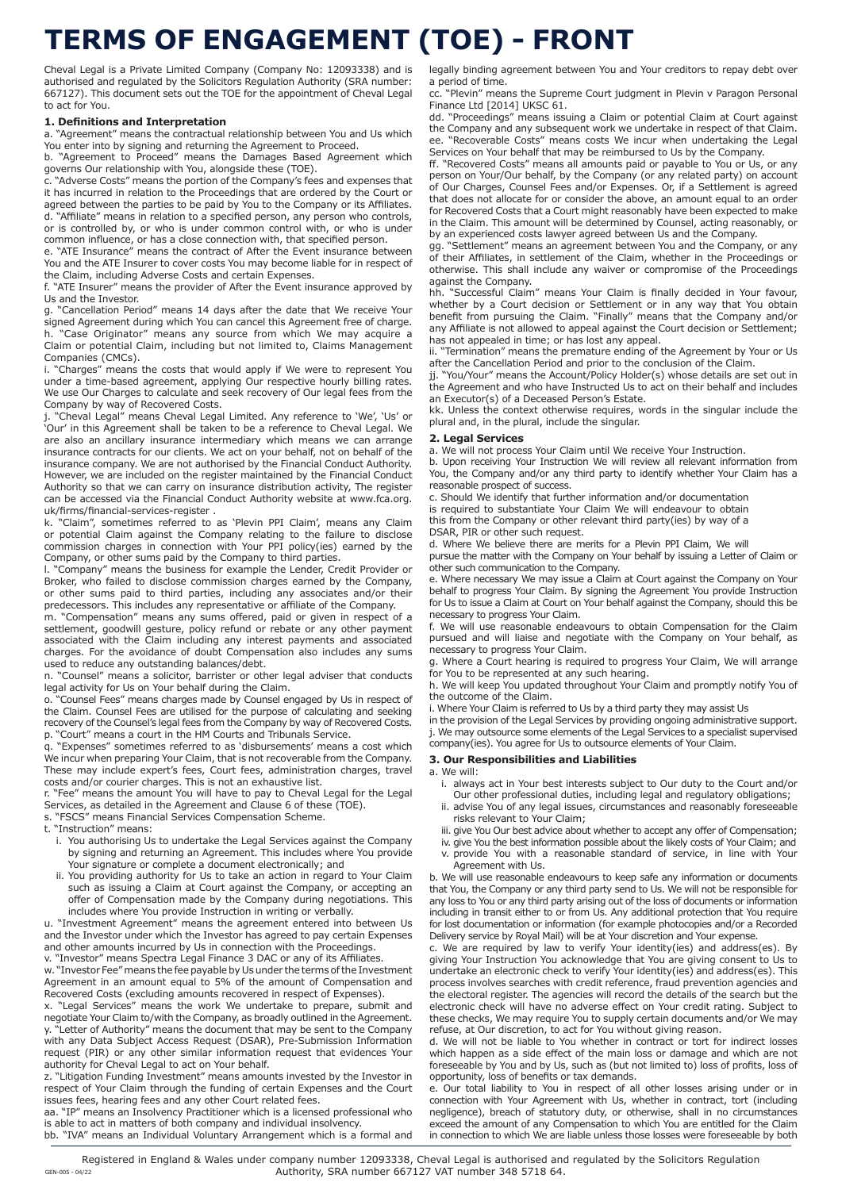## **TERMS OF ENGAGEMENT (TOE) - FRONT**

Cheval Legal is a Private Limited Company (Company No: 12093338) and is authorised and regulated by the Solicitors Regulation Authority (SRA number: 667127). This document sets out the TOE for the appointment of Cheval Legal to act for You.

#### **1. Definitions and Interpretation**

a. "Agreement" means the contractual relationship between You and Us which You enter into by signing and returning the Agreement to Proceed.

b. "Agreement to Proceed" means the Damages Based Agreement which governs Our relationship with You, alongside these (TOE).

c. "Adverse Costs" means the portion of the Company's fees and expenses that it has incurred in relation to the Proceedings that are ordered by the Court or agreed between the parties to be paid by You to the Company or its Affiliates. d. "Affiliate" means in relation to a specified person, any person who controls, or is controlled by, or who is under common control with, or who is under common influence, or has a close connection with, that specified person.

e. "ATE Insurance" means the contract of After the Event insurance between You and the ATE Insurer to cover costs You may become liable for in respect of the Claim, including Adverse Costs and certain Expenses.

f. "ATE Insurer" means the provider of After the Event insurance approved by Us and the Investor.

g. "Cancellation Period" means 14 days after the date that We receive Your signed Agreement during which You can cancel this Agreement free of charge. h. "Case Originator" means any source from which We may acquire a Claim or potential Claim, including but not limited to, Claims Management Companies (CMCs).

i. "Charges" means the costs that would apply if We were to represent You under a time-based agreement, applying Our respective hourly billing rates. We use Our Charges to calculate and seek recovery of Our legal fees from the Company by way of Recovered Costs.<br>j. "Cheval Legal" means Cheval Legal Limited. Any reference to 'We', 'Us' or

j. "Cheval Legal" means Cheval Legal Limited. Any reference to 'We', 'Us' or 'Our' in this Agreement shall be taken to be a reference to Cheval Legal. We are also an ancillary insurance intermediary which means we can arrange insurance contracts for our clients. We act on your behalf, not on behalf of the insurance company. We are not authorised by the Financial Conduct Authority. However, we are included on the register maintained by the Financial Conduct Authority so that we can carry on insurance distribution activity, The register can be accessed via the Financial Conduct Authority website at www.fca.org. uk/firms/financial-services-register .

"Claim", sometimes referred to as 'Plevin PPI Claim', means any Claim or potential Claim against the Company relating to the failure to disclose commission charges in connection with Your PPI policy(ies) earned by the Company, or other sums paid by the Company to third parties.

l. "Company" means the business for example the Lender, Credit Provider or Broker, who failed to disclose commission charges earned by the Company, or other sums paid to third parties, including any associates and/or their predecessors. This includes any representative or affiliate of the Company.

m. "Compensation" means any sums offered, paid or given in respect of a settlement, goodwill gesture, policy refund or rebate or any other payment associated with the Claim including any interest payments and associated charges. For the avoidance of doubt Compensation also includes any sums used to reduce any outstanding balances/debt.

n. "Counsel" means a solicitor, barrister or other legal adviser that conducts legal activity for Us on Your behalf during the Claim.

o. "Counsel Fees" means charges made by Counsel engaged by Us in respect of the Claim. Counsel Fees are utilised for the purpose of calculating and seeking recovery of the Counsel's legal fees from the Company by way of Recovered Costs. p. "Court" means a court in the HM Courts and Tribunals Service.

q. "Expenses" sometimes referred to as 'disbursements' means a cost which We incur when preparing Your Claim, that is not recoverable from the Company. These may include expert's fees, Court fees, administration charges, travel costs and/or courier charges. This is not an exhaustive list.

r. "Fee" means the amount You will have to pay to Cheval Legal for the Legal

Services, as detailed in the Agreement and Clause 6 of these (TOE). s. "FSCS" means Financial Services Compensation Scheme.

t. "Instruction" means:

- i. You authorising Us to undertake the Legal Services against the Company by signing and returning an Agreement. This includes where You provide Your signature or complete a document electronically; and
- ii. You providing authority for Us to take an action in regard to Your Claim such as issuing a Claim at Court against the Company, or accepting an offer of Compensation made by the Company during negotiations. This includes where You provide Instruction in writing or verbally.

u. "Investment Agreement" means the agreement entered into between Us and the Investor under which the Investor has agreed to pay certain Expenses and other amounts incurred by Us in connection with the Proceedings. v. "Investor" means Spectra Legal Finance 3 DAC or any of its Affiliates.

w. "Investor Fee" means the fee payable by Us under the terms of the Investment Agreement in an amount equal to 5% of the amount of Compensation and Recovered Costs (excluding amounts recovered in respect of Expenses).

"Legal Services" means the work We undertake to prepare, submit and negotiate Your Claim to/with the Company, as broadly outlined in the Agreement. y. "Letter of Authority" means the document that may be sent to the Company with any Data Subject Access Request (DSAR), Pre-Submission Information request (PIR) or any other similar information request that evidences Your authority for Cheval Legal to act on Your behalf.

z. "Litigation Funding Investment" means amounts invested by the Investor in respect of Your Claim through the funding of certain Expenses and the Court issues fees, hearing fees and any other Court related fees.

aa. "IP" means an Insolvency Practitioner which is a licensed professional who is able to act in matters of both company and individual insolvency. bb. "IVA" means an Individual Voluntary Arrangement which is a formal and legally binding agreement between You and Your creditors to repay debt over a period of time.

cc. "Plevin" means the Supreme Court judgment in Plevin v Paragon Personal Finance Ltd [2014] UKSC 61.

dd. "Proceedings" means issuing a Claim or potential Claim at Court against the Company and any subsequent work we undertake in respect of that Claim. ee. "Recoverable Costs" means costs We incur when undertaking the Legal Services on Your behalf that may be reimbursed to Us by the Company.

ff. "Recovered Costs" means all amounts paid or payable to You or Us, or any person on Your/Our behalf, by the Company (or any related party) on account of Our Charges, Counsel Fees and/or Expenses. Or, if a Settlement is agreed that does not allocate for or consider the above, an amount equal to an order for Recovered Costs that a Court might reasonably have been expected to make in the Claim. This amount will be determined by Counsel, acting reasonably, or by an experienced costs lawyer agreed between Us and the Company.

gg. "Settlement" means an agreement between You and the Company, or any of their Affiliates, in settlement of the Claim, whether in the Proceedings or otherwise. This shall include any waiver or compromise of the Proceedings against the Company.

hh. "Successful Claim" means Your Claim is finally decided in Your favour, whether by a Court decision or Settlement or in any way that You obtain benefit from pursuing the Claim. "Finally" means that the Company and/or any Affiliate is not allowed to appeal against the Court decision or Settlement; has not appealed in time; or has lost any appeal.

ii. "Termination" means the premature ending of the Agreement by Your or Us after the Cancellation Period and prior to the conclusion of the Claim.

jj. "You/Your" means the Account/Policy Holder(s) whose details are set out in the Agreement and who have Instructed Us to act on their behalf and includes an Executor(s) of a Deceased Person's Estate.

kk. Unless the context otherwise requires, words in the singular include the plural and, in the plural, include the singular.

#### **2. Legal Services**

a. We will not process Your Claim until We receive Your Instruction.

b. Upon receiving Your Instruction We will review all relevant information from You, the Company and/or any third party to identify whether Your Claim has a reasonable prospect of success.

c. Should We identify that further information and/or documentation is required to substantiate Your Claim We will endeavour to obtain

this from the Company or other relevant third party(ies) by way of a DSAR, PIR or other such request.

d. Where We believe there are merits for a Plevin PPI Claim, We will pursue the matter with the Company on Your behalf by issuing a Letter of Claim or

other such communication to the Company. e. Where necessary We may issue a Claim at Court against the Company on Your

behalf to progress Your Claim. By signing the Agreement You provide Instruction for Us to issue a Claim at Court on Your behalf against the Company, should this be necessary to progress Your Claim.

f. We will use reasonable endeavours to obtain Compensation for the Claim pursued and will liaise and negotiate with the Company on Your behalf, as necessary to progress Your Claim.

g. Where a Court hearing is required to progress Your Claim, We will arrange for You to be represented at any such hearing.

h. We will keep You updated throughout Your Claim and promptly notify You of the outcome of the Claim.

i. Where Your Claim is referred to Us by a third party they may assist Us

in the provision of the Legal Services by providing ongoing administrative support. j. We may outsource some elements of the Legal Services to a specialist supervised company(ies). You agree for Us to outsource elements of Your Claim.

## **3. Our Responsibilities and Liabilities**

a. We will:

- i. always act in Your best interests subject to Our duty to the Court and/or Our other professional duties, including legal and regulatory obligations;
- ii. advise You of any legal issues, circumstances and reasonably foreseeable risks relevant to Your Claim;
- iii. give You Our best advice about whether to accept any offer of Compensation;
- iv. give You the best information possible about the likely costs of Your Claim; and v. provide You with a reasonable standard of service, in line with Your .<br>Agreement with Us.

b. We will use reasonable endeavours to keep safe any information or documents that You, the Company or any third party send to Us. We will not be responsible for any loss to You or any third party arising out of the loss of documents or information including in transit either to or from Us. Any additional protection that You require for lost documentation or information (for example photocopies and/or a Recorded Delivery service by Royal Mail) will be at Your discretion and Your expense.

c. We are required by law to verify Your identity(ies) and address(es). By giving Your Instruction You acknowledge that You are giving consent to Us to undertake an electronic check to verify Your identity(ies) and address(es). This process involves searches with credit reference, fraud prevention agencies and the electoral register. The agencies will record the details of the search but the electronic check will have no adverse effect on Your credit rating. Subject to these checks, We may require You to supply certain documents and/or We may refuse, at Our discretion, to act for You without giving reason.

d. We will not be liable to You whether in contract or tort for indirect losses which happen as a side effect of the main loss or damage and which are not foreseeable by You and by Us, such as (but not limited to) loss of profits, loss of opportunity, loss of benefits or tax demands.

e. Our total liability to You in respect of all other losses arising under or in connection with Your Agreement with Us, whether in contract, tort (including negligence), breach of statutory duty, or otherwise, shall in no circumstances exceed the amount of any Compensation to which You are entitled for the Claim in connection to which We are liable unless those losses were foreseeable by both

Registered in England & Wales under company number 12093338, Cheval Legal is authorised and regulated by the Solicitors Regulation Authority, SRA number 667127 VAT number 348 5718 64. GEN-005 - 04/22